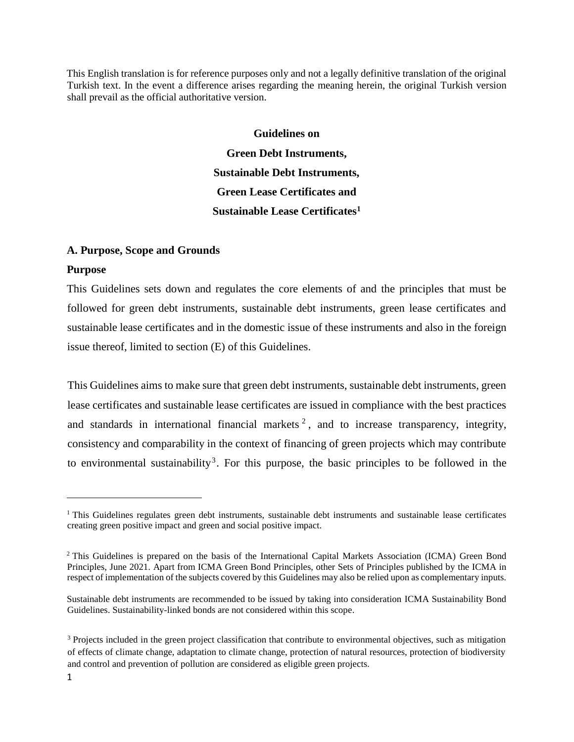This English translation is for reference purposes only and not a legally definitive translation of the original Turkish text. In the event a difference arises regarding the meaning herein, the original Turkish version shall prevail as the official authoritative version.

> **Guidelines on Green Debt Instruments, Sustainable Debt Instruments, Green Lease Certificates and Sustainable Lease Certificates<sup>1</sup>**

### **A. Purpose, Scope and Grounds**

#### **Purpose**

This Guidelines sets down and regulates the core elements of and the principles that must be followed for green debt instruments, sustainable debt instruments, green lease certificates and sustainable lease certificates and in the domestic issue of these instruments and also in the foreign issue thereof, limited to section (E) of this Guidelines.

This Guidelines aims to make sure that green debt instruments, sustainable debt instruments, green lease certificates and sustainable lease certificates are issued in compliance with the best practices and standards in international financial markets<sup>2</sup>, and to increase transparency, integrity, consistency and comparability in the context of financing of green projects which may contribute to environmental sustainability<sup>3</sup>. For this purpose, the basic principles to be followed in the

<sup>&</sup>lt;sup>1</sup> This Guidelines regulates green debt instruments, sustainable debt instruments and sustainable lease certificates creating green positive impact and green and social positive impact.

<sup>2</sup> This Guidelines is prepared on the basis of the International Capital Markets Association (ICMA) Green Bond Principles, June 2021. Apart from ICMA Green Bond Principles, other Sets of Principles published by the ICMA in respect of implementation of the subjects covered by this Guidelines may also be relied upon as complementary inputs.

Sustainable debt instruments are recommended to be issued by taking into consideration ICMA Sustainability Bond Guidelines. Sustainability-linked bonds are not considered within this scope.

<sup>&</sup>lt;sup>3</sup> Projects included in the green project classification that contribute to environmental objectives, such as mitigation of effects of climate change, adaptation to climate change, protection of natural resources, protection of biodiversity and control and prevention of pollution are considered as eligible green projects.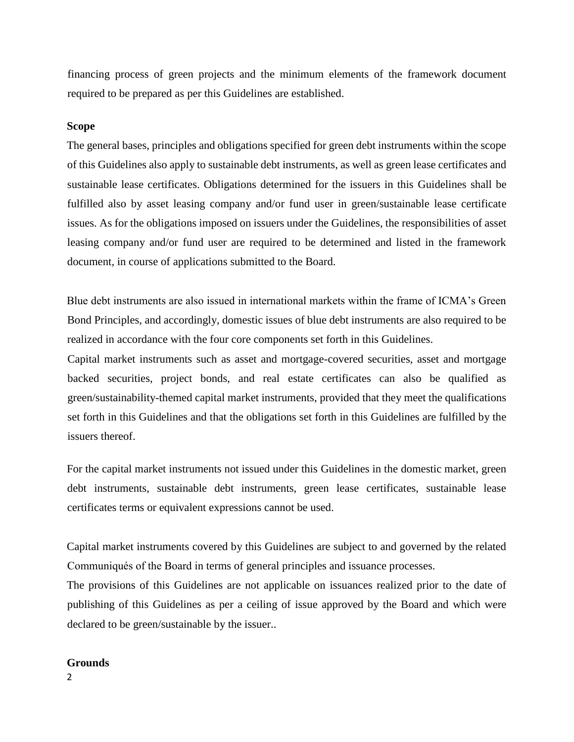financing process of green projects and the minimum elements of the framework document required to be prepared as per this Guidelines are established.

#### **Scope**

The general bases, principles and obligations specified for green debt instruments within the scope of this Guidelines also apply to sustainable debt instruments, as well as green lease certificates and sustainable lease certificates. Obligations determined for the issuers in this Guidelines shall be fulfilled also by asset leasing company and/or fund user in green/sustainable lease certificate issues. As for the obligations imposed on issuers under the Guidelines, the responsibilities of asset leasing company and/or fund user are required to be determined and listed in the framework document, in course of applications submitted to the Board.

Blue debt instruments are also issued in international markets within the frame of ICMA's Green Bond Principles, and accordingly, domestic issues of blue debt instruments are also required to be realized in accordance with the four core components set forth in this Guidelines.

Capital market instruments such as asset and mortgage-covered securities, asset and mortgage backed securities, project bonds, and real estate certificates can also be qualified as green/sustainability-themed capital market instruments, provided that they meet the qualifications set forth in this Guidelines and that the obligations set forth in this Guidelines are fulfilled by the issuers thereof.

For the capital market instruments not issued under this Guidelines in the domestic market, green debt instruments, sustainable debt instruments, green lease certificates, sustainable lease certificates terms or equivalent expressions cannot be used.

Capital market instruments covered by this Guidelines are subject to and governed by the related Communiqués of the Board in terms of general principles and issuance processes.

The provisions of this Guidelines are not applicable on issuances realized prior to the date of publishing of this Guidelines as per a ceiling of issue approved by the Board and which were declared to be green/sustainable by the issuer..

#### **Grounds**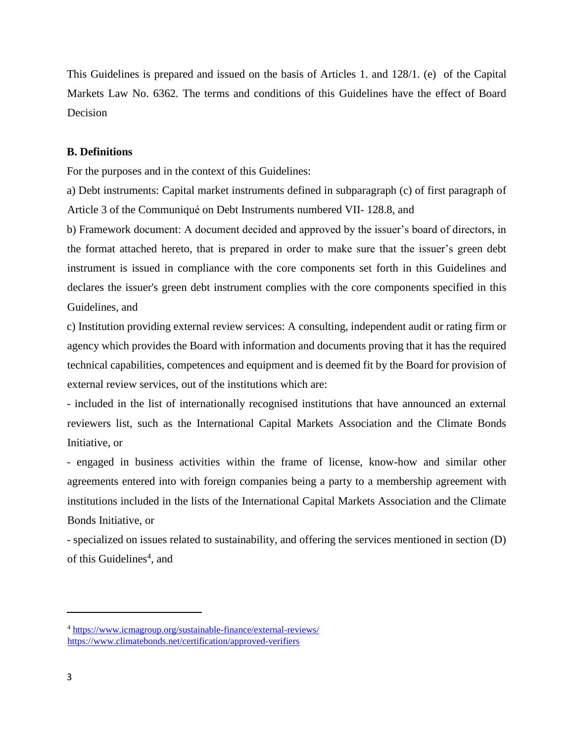This Guidelines is prepared and issued on the basis of Articles 1. and 128/1. (e) of the Capital Markets Law No. 6362. The terms and conditions of this Guidelines have the effect of Board Decision

#### **B. Definitions**

For the purposes and in the context of this Guidelines:

a) Debt instruments: Capital market instruments defined in subparagraph (c) of first paragraph of Article 3 of the Communiqué on Debt Instruments numbered VII- 128.8, and

b) Framework document: A document decided and approved by the issuer's board of directors, in the format attached hereto, that is prepared in order to make sure that the issuer's green debt instrument is issued in compliance with the core components set forth in this Guidelines and declares the issuer's green debt instrument complies with the core components specified in this Guidelines, and

c) Institution providing external review services: A consulting, independent audit or rating firm or agency which provides the Board with information and documents proving that it has the required technical capabilities, competences and equipment and is deemed fit by the Board for provision of external review services, out of the institutions which are:

- included in the list of internationally recognised institutions that have announced an external reviewers list, such as the International Capital Markets Association and the Climate Bonds Initiative, or

- engaged in business activities within the frame of license, know-how and similar other agreements entered into with foreign companies being a party to a membership agreement with institutions included in the lists of the International Capital Markets Association and the Climate Bonds Initiative, or

- specialized on issues related to sustainability, and offering the services mentioned in section (D) of this Guidelines<sup>4</sup>, and

<sup>4</sup> <https://www.icmagroup.org/sustainable-finance/external-reviews/> <https://www.climatebonds.net/certification/approved-verifiers>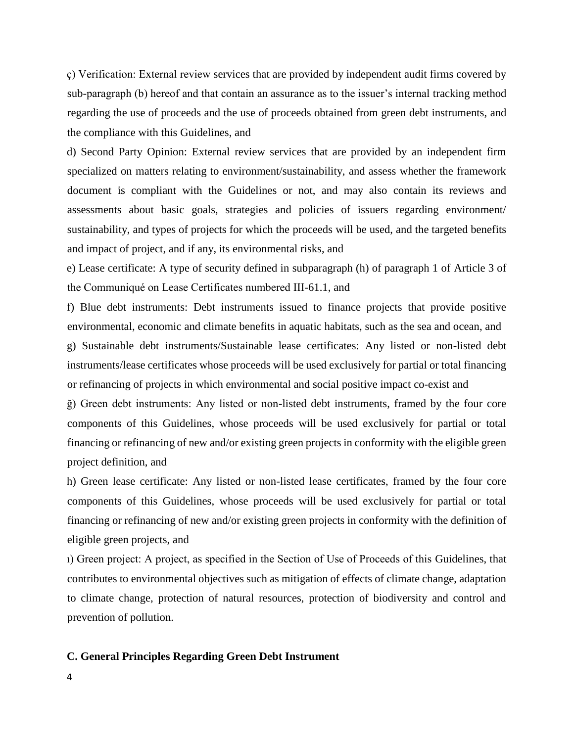ç) Verification: External review services that are provided by independent audit firms covered by sub-paragraph (b) hereof and that contain an assurance as to the issuer's internal tracking method regarding the use of proceeds and the use of proceeds obtained from green debt instruments, and the compliance with this Guidelines, and

d) Second Party Opinion: External review services that are provided by an independent firm specialized on matters relating to environment/sustainability, and assess whether the framework document is compliant with the Guidelines or not, and may also contain its reviews and assessments about basic goals, strategies and policies of issuers regarding environment/ sustainability, and types of projects for which the proceeds will be used, and the targeted benefits and impact of project, and if any, its environmental risks, and

e) Lease certificate: A type of security defined in subparagraph (h) of paragraph 1 of Article 3 of the Communiqué on Lease Certificates numbered III-61.1, and

f) Blue debt instruments: Debt instruments issued to finance projects that provide positive environmental, economic and climate benefits in aquatic habitats, such as the sea and ocean, and g) Sustainable debt instruments/Sustainable lease certificates: Any listed or non-listed debt instruments/lease certificates whose proceeds will be used exclusively for partial or total financing or refinancing of projects in which environmental and social positive impact co-exist and

ğ) Green debt instruments: Any listed or non-listed debt instruments, framed by the four core components of this Guidelines, whose proceeds will be used exclusively for partial or total financing or refinancing of new and/or existing green projects in conformity with the eligible green project definition, and

h) Green lease certificate: Any listed or non-listed lease certificates, framed by the four core components of this Guidelines, whose proceeds will be used exclusively for partial or total financing or refinancing of new and/or existing green projects in conformity with the definition of eligible green projects, and

ı) Green project: A project, as specified in the Section of Use of Proceeds of this Guidelines, that contributes to environmental objectives such as mitigation of effects of climate change, adaptation to climate change, protection of natural resources, protection of biodiversity and control and prevention of pollution.

### **C. General Principles Regarding Green Debt Instrument**

4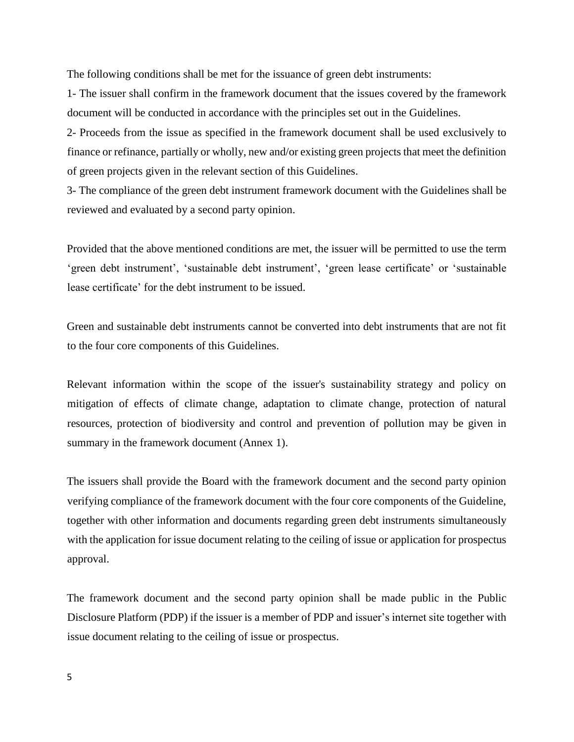The following conditions shall be met for the issuance of green debt instruments:

1- The issuer shall confirm in the framework document that the issues covered by the framework document will be conducted in accordance with the principles set out in the Guidelines.

2- Proceeds from the issue as specified in the framework document shall be used exclusively to finance or refinance, partially or wholly, new and/or existing green projects that meet the definition of green projects given in the relevant section of this Guidelines.

3- The compliance of the green debt instrument framework document with the Guidelines shall be reviewed and evaluated by a second party opinion.

Provided that the above mentioned conditions are met, the issuer will be permitted to use the term 'green debt instrument', 'sustainable debt instrument', 'green lease certificate' or 'sustainable lease certificate' for the debt instrument to be issued.

Green and sustainable debt instruments cannot be converted into debt instruments that are not fit to the four core components of this Guidelines.

Relevant information within the scope of the issuer's sustainability strategy and policy on mitigation of effects of climate change, adaptation to climate change, protection of natural resources, protection of biodiversity and control and prevention of pollution may be given in summary in the framework document (Annex 1).

The issuers shall provide the Board with the framework document and the second party opinion verifying compliance of the framework document with the four core components of the Guideline, together with other information and documents regarding green debt instruments simultaneously with the application for issue document relating to the ceiling of issue or application for prospectus approval.

The framework document and the second party opinion shall be made public in the Public Disclosure Platform (PDP) if the issuer is a member of PDP and issuer's internet site together with issue document relating to the ceiling of issue or prospectus.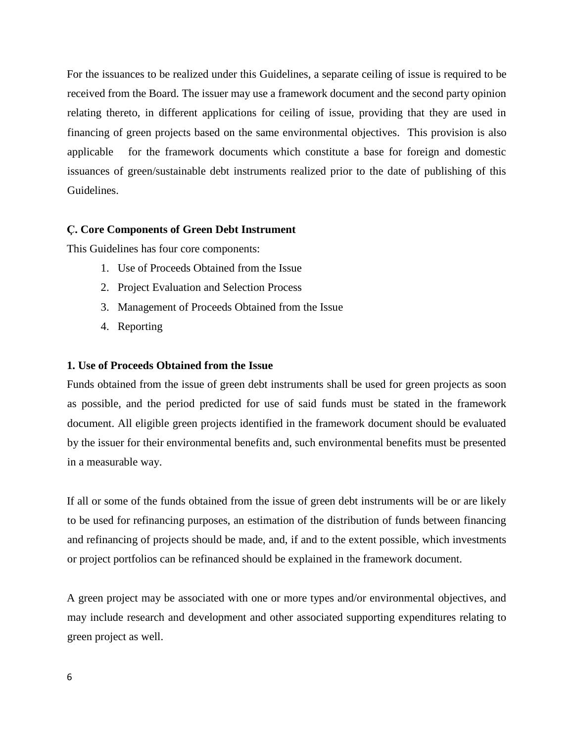For the issuances to be realized under this Guidelines, a separate ceiling of issue is required to be received from the Board. The issuer may use a framework document and the second party opinion relating thereto, in different applications for ceiling of issue, providing that they are used in financing of green projects based on the same environmental objectives. This provision is also applicable for the framework documents which constitute a base for foreign and domestic issuances of green/sustainable debt instruments realized prior to the date of publishing of this Guidelines.

### **Ç. Core Components of Green Debt Instrument**

This Guidelines has four core components:

- 1. Use of Proceeds Obtained from the Issue
- 2. Project Evaluation and Selection Process
- 3. Management of Proceeds Obtained from the Issue
- 4. Reporting

### **1. Use of Proceeds Obtained from the Issue**

Funds obtained from the issue of green debt instruments shall be used for green projects as soon as possible, and the period predicted for use of said funds must be stated in the framework document. All eligible green projects identified in the framework document should be evaluated by the issuer for their environmental benefits and, such environmental benefits must be presented in a measurable way.

If all or some of the funds obtained from the issue of green debt instruments will be or are likely to be used for refinancing purposes, an estimation of the distribution of funds between financing and refinancing of projects should be made, and, if and to the extent possible, which investments or project portfolios can be refinanced should be explained in the framework document.

A green project may be associated with one or more types and/or environmental objectives, and may include research and development and other associated supporting expenditures relating to green project as well.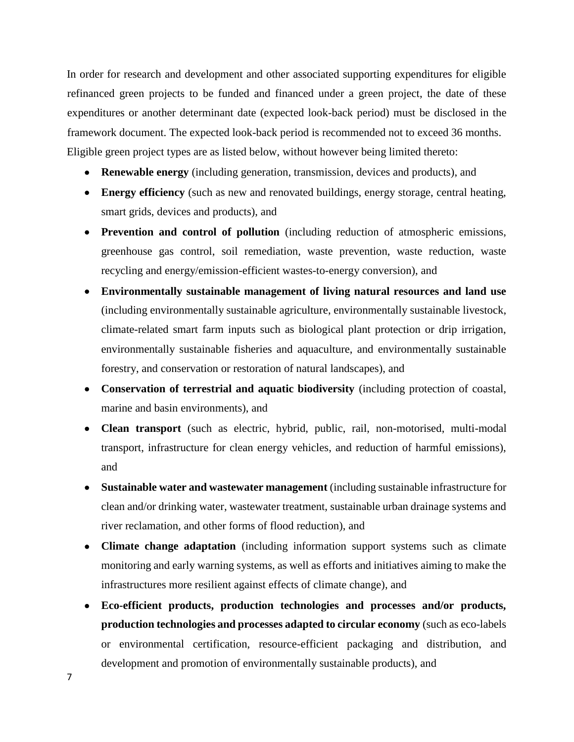In order for research and development and other associated supporting expenditures for eligible refinanced green projects to be funded and financed under a green project, the date of these expenditures or another determinant date (expected look-back period) must be disclosed in the framework document. The expected look-back period is recommended not to exceed 36 months. Eligible green project types are as listed below, without however being limited thereto:

- **Renewable energy** (including generation, transmission, devices and products), and
- **Energy efficiency** (such as new and renovated buildings, energy storage, central heating, smart grids, devices and products), and
- **Prevention and control of pollution** (including reduction of atmospheric emissions, greenhouse gas control, soil remediation, waste prevention, waste reduction, waste recycling and energy/emission-efficient wastes-to-energy conversion), and
- **Environmentally sustainable management of living natural resources and land use**  (including environmentally sustainable agriculture, environmentally sustainable livestock, climate-related smart farm inputs such as biological plant protection or drip irrigation, environmentally sustainable fisheries and aquaculture, and environmentally sustainable forestry, and conservation or restoration of natural landscapes), and
- **Conservation of terrestrial and aquatic biodiversity** (including protection of coastal, marine and basin environments), and
- **Clean transport** (such as electric, hybrid, public, rail, non-motorised, multi-modal transport, infrastructure for clean energy vehicles, and reduction of harmful emissions), and
- **Sustainable water and wastewater management** (including sustainable infrastructure for clean and/or drinking water, wastewater treatment, sustainable urban drainage systems and river reclamation, and other forms of flood reduction), and
- **Climate change adaptation** (including information support systems such as climate monitoring and early warning systems, as well as efforts and initiatives aiming to make the infrastructures more resilient against effects of climate change), and
- **Eco-efficient products, production technologies and processes and/or products, production technologies and processes adapted to circular economy** (such as eco-labels or environmental certification, resource-efficient packaging and distribution, and development and promotion of environmentally sustainable products), and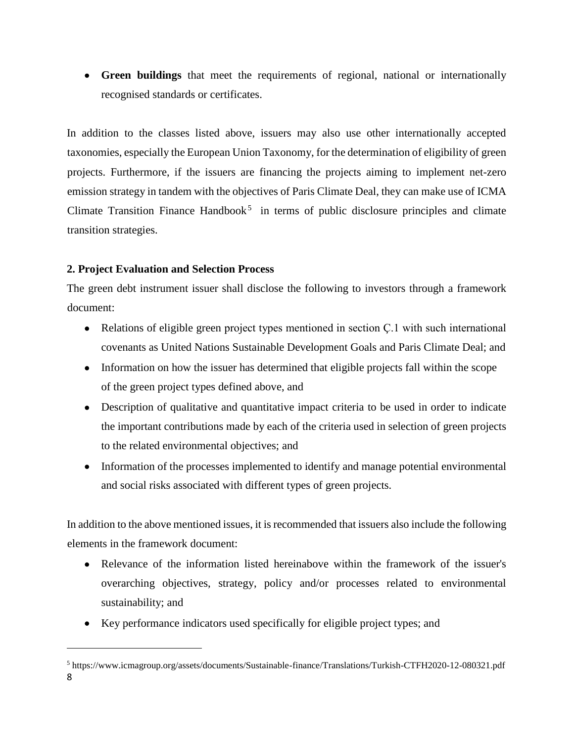**Green buildings** that meet the requirements of regional, national or internationally recognised standards or certificates.

In addition to the classes listed above, issuers may also use other internationally accepted taxonomies, especially the European Union Taxonomy, for the determination of eligibility of green projects. Furthermore, if the issuers are financing the projects aiming to implement net-zero emission strategy in tandem with the objectives of Paris Climate Deal, they can make use of ICMA Climate Transition Finance Handbook<sup>5</sup> in terms of public disclosure principles and climate transition strategies.

# **2. Project Evaluation and Selection Process**

 $\overline{a}$ 

The green debt instrument issuer shall disclose the following to investors through a framework document:

- Relations of eligible green project types mentioned in section C.1 with such international covenants as United Nations Sustainable Development Goals and Paris Climate Deal; and
- Information on how the issuer has determined that eligible projects fall within the scope of the green project types defined above, and
- Description of qualitative and quantitative impact criteria to be used in order to indicate the important contributions made by each of the criteria used in selection of green projects to the related environmental objectives; and
- Information of the processes implemented to identify and manage potential environmental and social risks associated with different types of green projects.

In addition to the above mentioned issues, it is recommended that issuers also include the following elements in the framework document:

- Relevance of the information listed hereinabove within the framework of the issuer's overarching objectives, strategy, policy and/or processes related to environmental sustainability; and
- Key performance indicators used specifically for eligible project types; and

<sup>8</sup> <sup>5</sup> https://www.icmagroup.org/assets/documents/Sustainable-finance/Translations/Turkish-CTFH2020-12-080321.pdf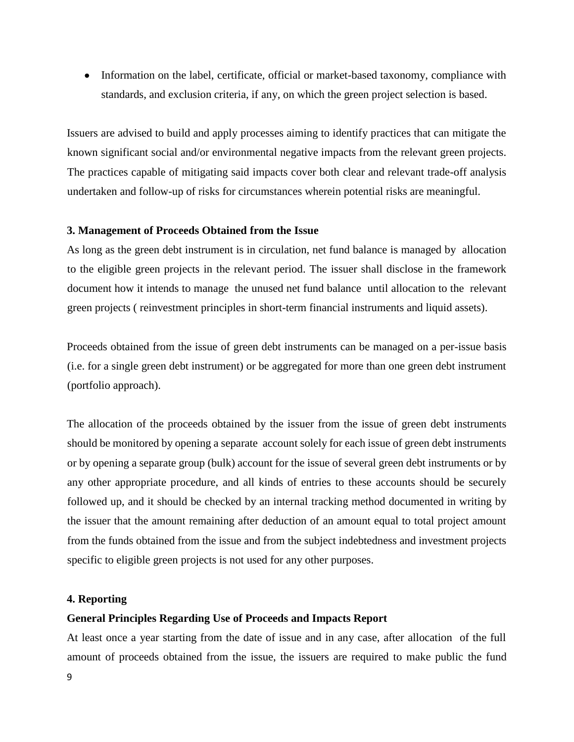• Information on the label, certificate, official or market-based taxonomy, compliance with standards, and exclusion criteria, if any, on which the green project selection is based.

Issuers are advised to build and apply processes aiming to identify practices that can mitigate the known significant social and/or environmental negative impacts from the relevant green projects. The practices capable of mitigating said impacts cover both clear and relevant trade-off analysis undertaken and follow-up of risks for circumstances wherein potential risks are meaningful.

#### **3. Management of Proceeds Obtained from the Issue**

As long as the green debt instrument is in circulation, net fund balance is managed by allocation to the eligible green projects in the relevant period. The issuer shall disclose in the framework document how it intends to manage the unused net fund balance until allocation to the relevant green projects ( reinvestment principles in short-term financial instruments and liquid assets).

Proceeds obtained from the issue of green debt instruments can be managed on a per-issue basis (i.e. for a single green debt instrument) or be aggregated for more than one green debt instrument (portfolio approach).

The allocation of the proceeds obtained by the issuer from the issue of green debt instruments should be monitored by opening a separate account solely for each issue of green debt instruments or by opening a separate group (bulk) account for the issue of several green debt instruments or by any other appropriate procedure, and all kinds of entries to these accounts should be securely followed up, and it should be checked by an internal tracking method documented in writing by the issuer that the amount remaining after deduction of an amount equal to total project amount from the funds obtained from the issue and from the subject indebtedness and investment projects specific to eligible green projects is not used for any other purposes.

### **4. Reporting**

### **General Principles Regarding Use of Proceeds and Impacts Report**

At least once a year starting from the date of issue and in any case, after allocation of the full amount of proceeds obtained from the issue, the issuers are required to make public the fund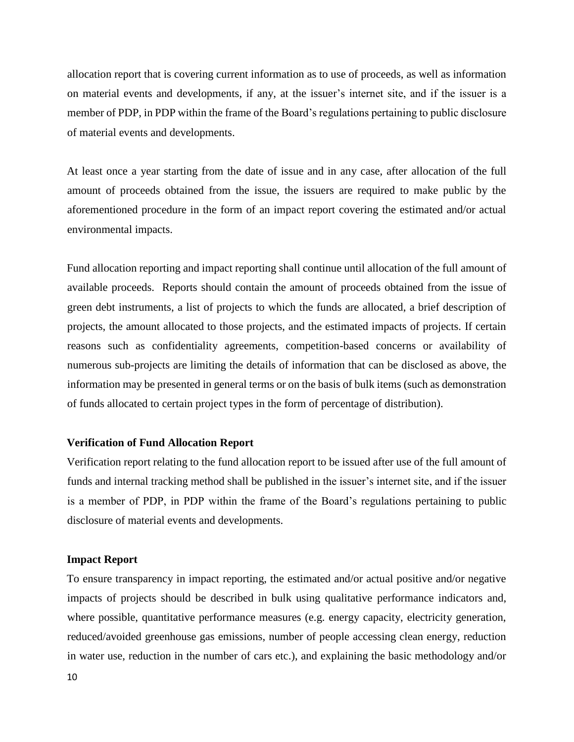allocation report that is covering current information as to use of proceeds, as well as information on material events and developments, if any, at the issuer's internet site, and if the issuer is a member of PDP, in PDP within the frame of the Board's regulations pertaining to public disclosure of material events and developments.

At least once a year starting from the date of issue and in any case, after allocation of the full amount of proceeds obtained from the issue, the issuers are required to make public by the aforementioned procedure in the form of an impact report covering the estimated and/or actual environmental impacts.

Fund allocation reporting and impact reporting shall continue until allocation of the full amount of available proceeds. Reports should contain the amount of proceeds obtained from the issue of green debt instruments, a list of projects to which the funds are allocated, a brief description of projects, the amount allocated to those projects, and the estimated impacts of projects. If certain reasons such as confidentiality agreements, competition-based concerns or availability of numerous sub-projects are limiting the details of information that can be disclosed as above, the information may be presented in general terms or on the basis of bulk items (such as demonstration of funds allocated to certain project types in the form of percentage of distribution).

# **Verification of Fund Allocation Report**

Verification report relating to the fund allocation report to be issued after use of the full amount of funds and internal tracking method shall be published in the issuer's internet site, and if the issuer is a member of PDP, in PDP within the frame of the Board's regulations pertaining to public disclosure of material events and developments.

#### **Impact Report**

To ensure transparency in impact reporting, the estimated and/or actual positive and/or negative impacts of projects should be described in bulk using qualitative performance indicators and, where possible, quantitative performance measures (e.g. energy capacity, electricity generation, reduced/avoided greenhouse gas emissions, number of people accessing clean energy, reduction in water use, reduction in the number of cars etc.), and explaining the basic methodology and/or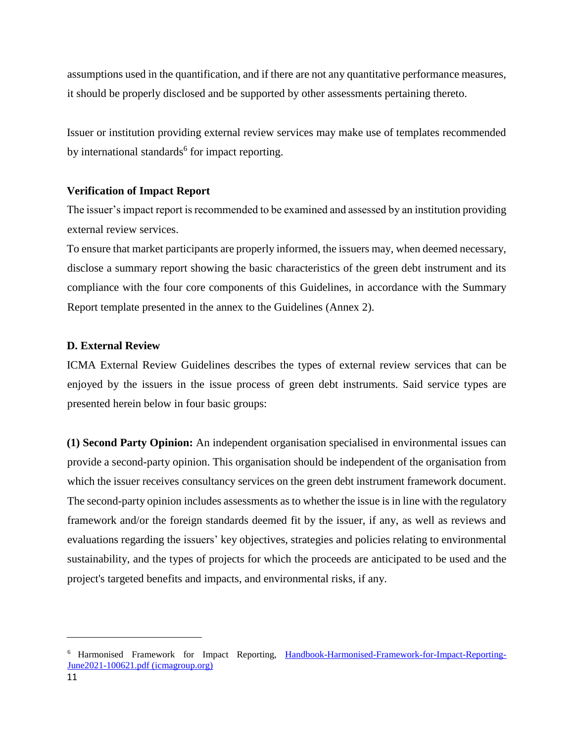assumptions used in the quantification, and if there are not any quantitative performance measures, it should be properly disclosed and be supported by other assessments pertaining thereto.

Issuer or institution providing external review services may make use of templates recommended by international standards<sup>6</sup> for impact reporting.

### **Verification of Impact Report**

The issuer's impact report is recommended to be examined and assessed by an institution providing external review services.

To ensure that market participants are properly informed, the issuers may, when deemed necessary, disclose a summary report showing the basic characteristics of the green debt instrument and its compliance with the four core components of this Guidelines, in accordance with the Summary Report template presented in the annex to the Guidelines (Annex 2).

### **D. External Review**

ICMA External Review Guidelines describes the types of external review services that can be enjoyed by the issuers in the issue process of green debt instruments. Said service types are presented herein below in four basic groups:

**(1) Second Party Opinion:** An independent organisation specialised in environmental issues can provide a second-party opinion. This organisation should be independent of the organisation from which the issuer receives consultancy services on the green debt instrument framework document. The second-party opinion includes assessments as to whether the issue is in line with the regulatory framework and/or the foreign standards deemed fit by the issuer, if any, as well as reviews and evaluations regarding the issuers' key objectives, strategies and policies relating to environmental sustainability, and the types of projects for which the proceeds are anticipated to be used and the project's targeted benefits and impacts, and environmental risks, if any.

<sup>&</sup>lt;sup>6</sup> Harmonised Framework for Impact Reporting, [Handbook-Harmonised-Framework-for-Impact-Reporting-](https://www.icmagroup.org/assets/documents/Sustainable-finance/2021-updates/Handbook-Harmonised-Framework-for-Impact-Reporting-June-2021-100621.pdf)[June2021-100621.pdf \(icmagroup.org\)](https://www.icmagroup.org/assets/documents/Sustainable-finance/2021-updates/Handbook-Harmonised-Framework-for-Impact-Reporting-June-2021-100621.pdf)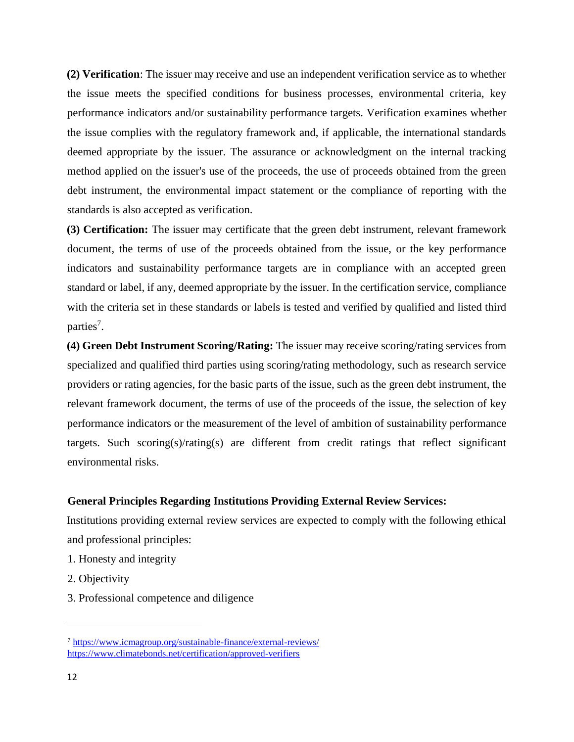**(2) Verification**: The issuer may receive and use an independent verification service as to whether the issue meets the specified conditions for business processes, environmental criteria, key performance indicators and/or sustainability performance targets. Verification examines whether the issue complies with the regulatory framework and, if applicable, the international standards deemed appropriate by the issuer. The assurance or acknowledgment on the internal tracking method applied on the issuer's use of the proceeds, the use of proceeds obtained from the green debt instrument, the environmental impact statement or the compliance of reporting with the standards is also accepted as verification.

**(3) Certification:** The issuer may certificate that the green debt instrument, relevant framework document, the terms of use of the proceeds obtained from the issue, or the key performance indicators and sustainability performance targets are in compliance with an accepted green standard or label, if any, deemed appropriate by the issuer. In the certification service, compliance with the criteria set in these standards or labels is tested and verified by qualified and listed third parties<sup>7</sup>.

**(4) Green Debt Instrument Scoring/Rating:** The issuer may receive scoring/rating services from specialized and qualified third parties using scoring/rating methodology, such as research service providers or rating agencies, for the basic parts of the issue, such as the green debt instrument, the relevant framework document, the terms of use of the proceeds of the issue, the selection of key performance indicators or the measurement of the level of ambition of sustainability performance targets. Such scoring(s)/rating(s) are different from credit ratings that reflect significant environmental risks.

#### **General Principles Regarding Institutions Providing External Review Services:**

Institutions providing external review services are expected to comply with the following ethical and professional principles:

- 1. Honesty and integrity
- 2. Objectivity
- 3. Professional competence and diligence

<sup>7</sup> <https://www.icmagroup.org/sustainable-finance/external-reviews/> <https://www.climatebonds.net/certification/approved-verifiers>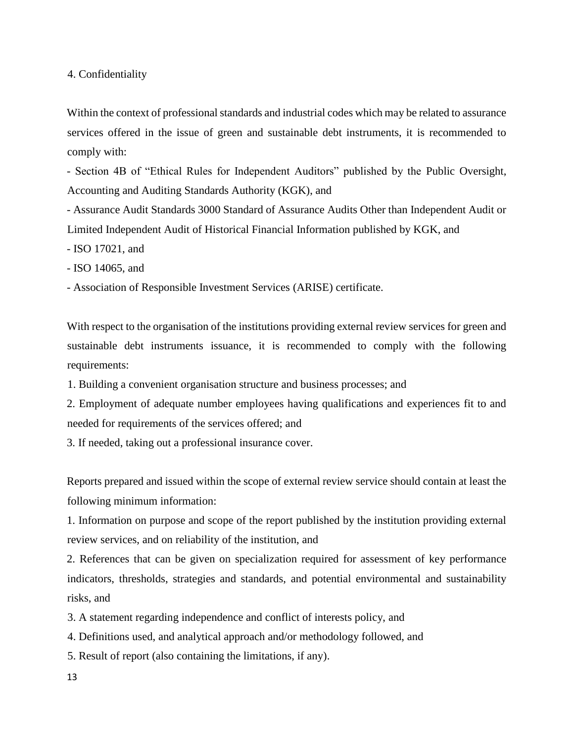4. Confidentiality

Within the context of professional standards and industrial codes which may be related to assurance services offered in the issue of green and sustainable debt instruments, it is recommended to comply with:

- Section 4B of "Ethical Rules for Independent Auditors" published by the Public Oversight, Accounting and Auditing Standards Authority (KGK), and

- Assurance Audit Standards 3000 Standard of Assurance Audits Other than Independent Audit or Limited Independent Audit of Historical Financial Information published by KGK, and

- ISO 17021, and
- ISO 14065, and

- Association of Responsible Investment Services (ARISE) certificate.

With respect to the organisation of the institutions providing external review services for green and sustainable debt instruments issuance, it is recommended to comply with the following requirements:

1. Building a convenient organisation structure and business processes; and

2. Employment of adequate number employees having qualifications and experiences fit to and needed for requirements of the services offered; and

3. If needed, taking out a professional insurance cover.

Reports prepared and issued within the scope of external review service should contain at least the following minimum information:

1. Information on purpose and scope of the report published by the institution providing external review services, and on reliability of the institution, and

2. References that can be given on specialization required for assessment of key performance indicators, thresholds, strategies and standards, and potential environmental and sustainability risks, and

3. A statement regarding independence and conflict of interests policy, and

4. Definitions used, and analytical approach and/or methodology followed, and

5. Result of report (also containing the limitations, if any).

13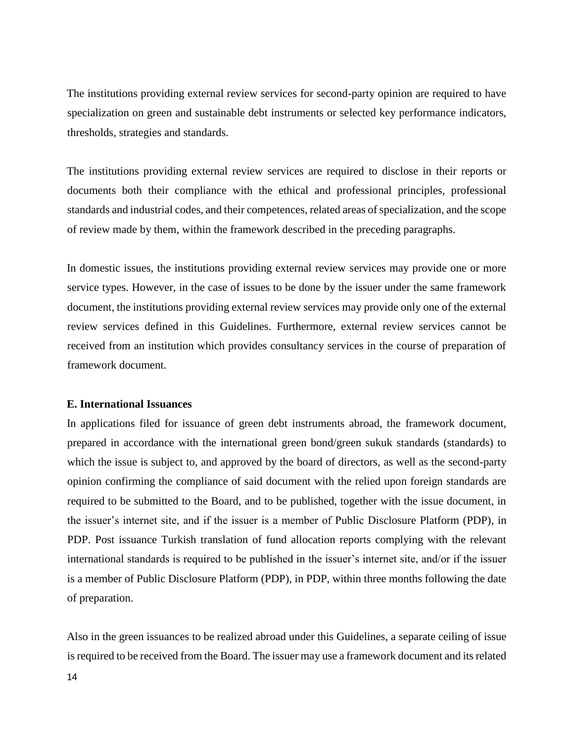The institutions providing external review services for second-party opinion are required to have specialization on green and sustainable debt instruments or selected key performance indicators, thresholds, strategies and standards.

The institutions providing external review services are required to disclose in their reports or documents both their compliance with the ethical and professional principles, professional standards and industrial codes, and their competences, related areas of specialization, and the scope of review made by them, within the framework described in the preceding paragraphs.

In domestic issues, the institutions providing external review services may provide one or more service types. However, in the case of issues to be done by the issuer under the same framework document, the institutions providing external review services may provide only one of the external review services defined in this Guidelines. Furthermore, external review services cannot be received from an institution which provides consultancy services in the course of preparation of framework document.

#### **E. International Issuances**

In applications filed for issuance of green debt instruments abroad, the framework document, prepared in accordance with the international green bond/green sukuk standards (standards) to which the issue is subject to, and approved by the board of directors, as well as the second-party opinion confirming the compliance of said document with the relied upon foreign standards are required to be submitted to the Board, and to be published, together with the issue document, in the issuer's internet site, and if the issuer is a member of Public Disclosure Platform (PDP), in PDP. Post issuance Turkish translation of fund allocation reports complying with the relevant international standards is required to be published in the issuer's internet site, and/or if the issuer is a member of Public Disclosure Platform (PDP), in PDP, within three months following the date of preparation.

Also in the green issuances to be realized abroad under this Guidelines, a separate ceiling of issue is required to be received from the Board. The issuer may use a framework document and its related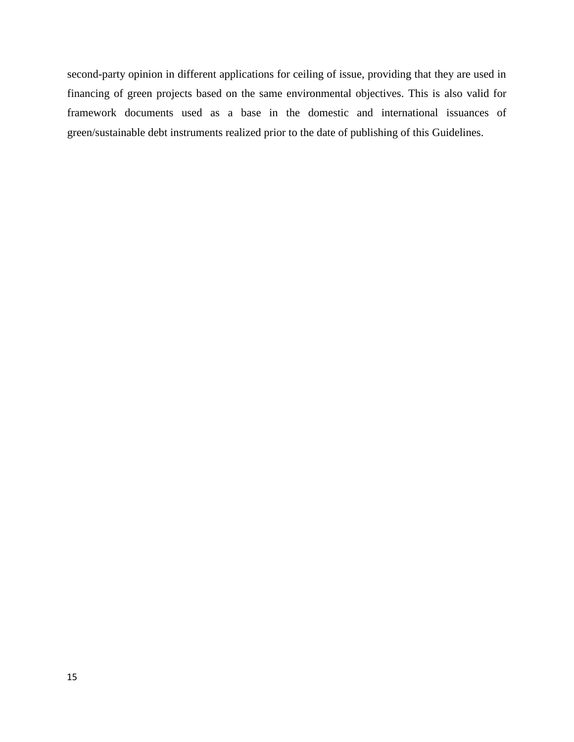second-party opinion in different applications for ceiling of issue, providing that they are used in financing of green projects based on the same environmental objectives. This is also valid for framework documents used as a base in the domestic and international issuances of green/sustainable debt instruments realized prior to the date of publishing of this Guidelines.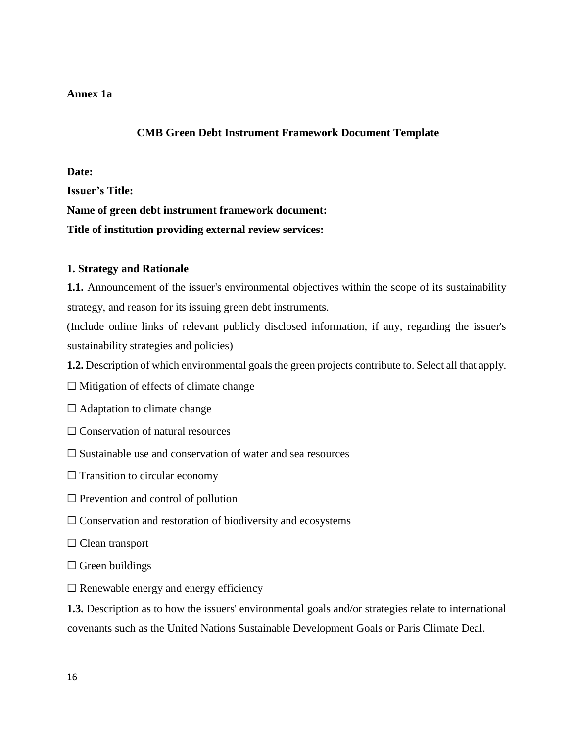## **Annex 1a**

# **CMB Green Debt Instrument Framework Document Template**

### **Date:**

**Issuer's Title:**

**Name of green debt instrument framework document:**

**Title of institution providing external review services:**

## **1. Strategy and Rationale**

**1.1.** Announcement of the issuer's environmental objectives within the scope of its sustainability strategy, and reason for its issuing green debt instruments.

(Include online links of relevant publicly disclosed information, if any, regarding the issuer's sustainability strategies and policies)

**1.2.** Description of which environmental goals the green projects contribute to. Select all that apply.

- $\Box$  Mitigation of effects of climate change
- $\Box$  Adaptation to climate change
- $\Box$  Conservation of natural resources
- $\Box$  Sustainable use and conservation of water and sea resources
- $\Box$  Transition to circular economy
- $\Box$  Prevention and control of pollution
- $\Box$  Conservation and restoration of biodiversity and ecosystems
- ☐ Clean transport
- $\Box$  Green buildings
- $\Box$  Renewable energy and energy efficiency

**1.3.** Description as to how the issuers' environmental goals and/or strategies relate to international covenants such as the United Nations Sustainable Development Goals or Paris Climate Deal.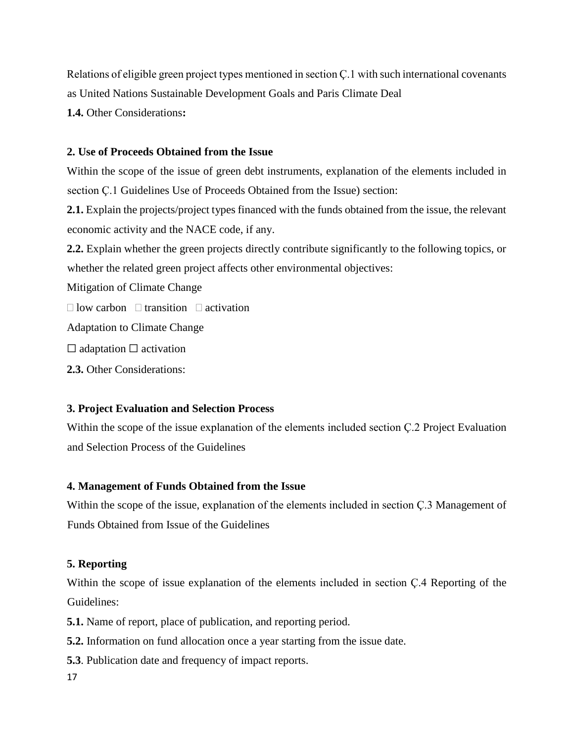Relations of eligible green project types mentioned in section Ç.1 with such international covenants as United Nations Sustainable Development Goals and Paris Climate Deal **1.4.** Other Considerations**:** 

# **2. Use of Proceeds Obtained from the Issue**

Within the scope of the issue of green debt instruments, explanation of the elements included in section Ç.1 Guidelines Use of Proceeds Obtained from the Issue) section: **2.1.** Explain the projects/project types financed with the funds obtained from the issue, the relevant economic activity and the NACE code, if any. **2.2.** Explain whether the green projects directly contribute significantly to the following topics, or whether the related green project affects other environmental objectives: Mitigation of Climate Change  $\Box$  low carbon  $\Box$  transition  $\Box$  activation Adaptation to Climate Change  $\Box$  adaptation  $\Box$  activation

**2.3.** Other Considerations:

# **3. Project Evaluation and Selection Process**

Within the scope of the issue explanation of the elements included section Ç.2 Project Evaluation and Selection Process of the Guidelines

# **4. Management of Funds Obtained from the Issue**

Within the scope of the issue, explanation of the elements included in section Ç.3 Management of Funds Obtained from Issue of the Guidelines

# **5. Reporting**

Within the scope of issue explanation of the elements included in section Ç.4 Reporting of the Guidelines:

**5.1.** Name of report, place of publication, and reporting period.

**5.2.** Information on fund allocation once a year starting from the issue date.

**5.3**. Publication date and frequency of impact reports.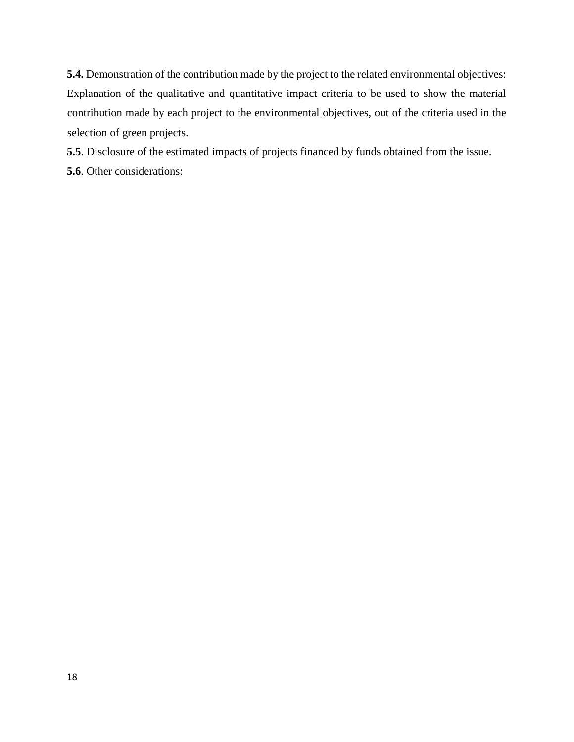**5.4.** Demonstration of the contribution made by the project to the related environmental objectives: Explanation of the qualitative and quantitative impact criteria to be used to show the material contribution made by each project to the environmental objectives, out of the criteria used in the selection of green projects.

**5.5**. Disclosure of the estimated impacts of projects financed by funds obtained from the issue.

**5.6**. Other considerations: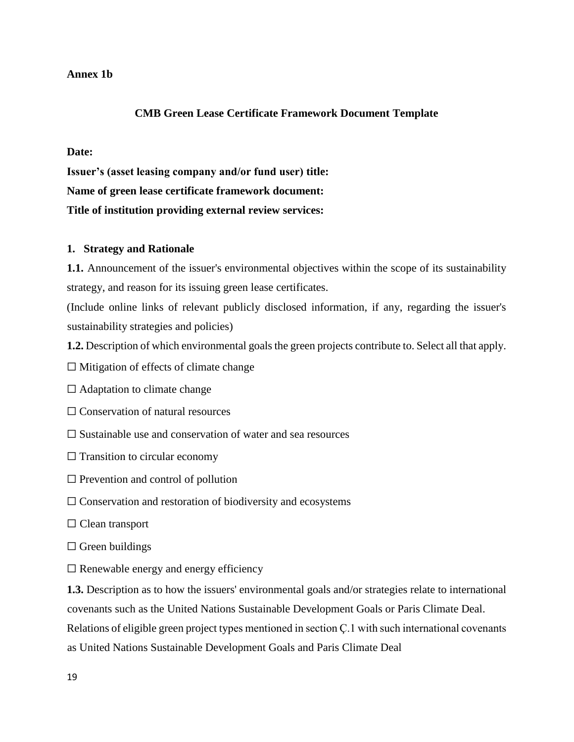### **Annex 1b**

## **CMB Green Lease Certificate Framework Document Template**

#### **Date:**

**Issuer's (asset leasing company and/or fund user) title: Name of green lease certificate framework document: Title of institution providing external review services:**

#### **1. Strategy and Rationale**

**1.1.** Announcement of the issuer's environmental objectives within the scope of its sustainability strategy, and reason for its issuing green lease certificates.

(Include online links of relevant publicly disclosed information, if any, regarding the issuer's sustainability strategies and policies)

**1.2.** Description of which environmental goals the green projects contribute to. Select all that apply.

 $\Box$  Mitigation of effects of climate change

 $\Box$  Adaptation to climate change

 $\Box$  Conservation of natural resources

 $\Box$  Sustainable use and conservation of water and sea resources

 $\Box$  Transition to circular economy

 $\Box$  Prevention and control of pollution

 $\Box$  Conservation and restoration of biodiversity and ecosystems

□ Clean transport

 $\Box$  Green buildings

 $\Box$  Renewable energy and energy efficiency

**1.3.** Description as to how the issuers' environmental goals and/or strategies relate to international covenants such as the United Nations Sustainable Development Goals or Paris Climate Deal. Relations of eligible green project types mentioned in section Ç.1 with such international covenants as United Nations Sustainable Development Goals and Paris Climate Deal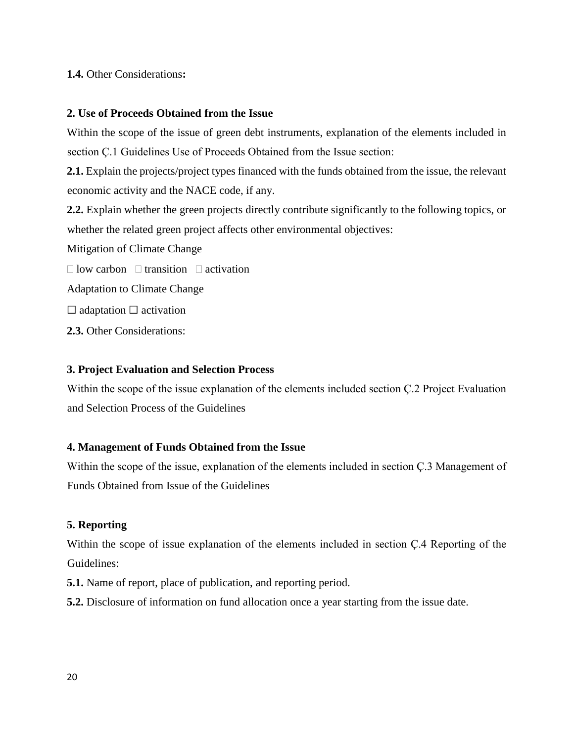# **1.4.** Other Considerations**:**

## **2. Use of Proceeds Obtained from the Issue**

Within the scope of the issue of green debt instruments, explanation of the elements included in section Ç.1 Guidelines Use of Proceeds Obtained from the Issue section:

**2.1.** Explain the projects/project types financed with the funds obtained from the issue, the relevant economic activity and the NACE code, if any.

**2.2.** Explain whether the green projects directly contribute significantly to the following topics, or whether the related green project affects other environmental objectives:

Mitigation of Climate Change

 $\Box$  low carbon  $\Box$  transition  $\Box$  activation

Adaptation to Climate Change

 $\Box$  adaptation  $\Box$  activation

**2.3.** Other Considerations:

# **3. Project Evaluation and Selection Process**

Within the scope of the issue explanation of the elements included section Ç.2 Project Evaluation and Selection Process of the Guidelines

# **4. Management of Funds Obtained from the Issue**

Within the scope of the issue, explanation of the elements included in section Ç.3 Management of Funds Obtained from Issue of the Guidelines

# **5. Reporting**

Within the scope of issue explanation of the elements included in section Ç.4 Reporting of the Guidelines:

**5.1.** Name of report, place of publication, and reporting period.

**5.2.** Disclosure of information on fund allocation once a year starting from the issue date.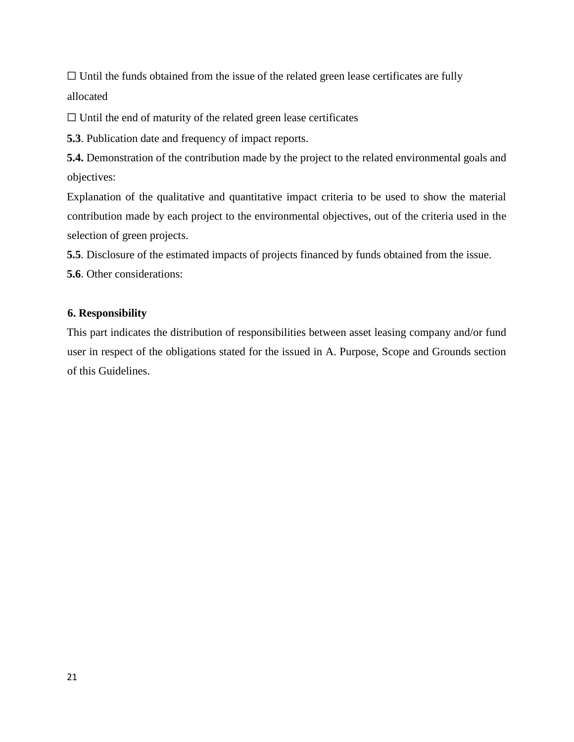$\Box$  Until the funds obtained from the issue of the related green lease certificates are fully allocated

☐ Until the end of maturity of the related green lease certificates

**5.3**. Publication date and frequency of impact reports.

**5.4.** Demonstration of the contribution made by the project to the related environmental goals and objectives:

Explanation of the qualitative and quantitative impact criteria to be used to show the material contribution made by each project to the environmental objectives, out of the criteria used in the selection of green projects.

**5.5**. Disclosure of the estimated impacts of projects financed by funds obtained from the issue.

**5.6**. Other considerations:

### **6. Responsibility**

This part indicates the distribution of responsibilities between asset leasing company and/or fund user in respect of the obligations stated for the issued in A. Purpose, Scope and Grounds section of this Guidelines.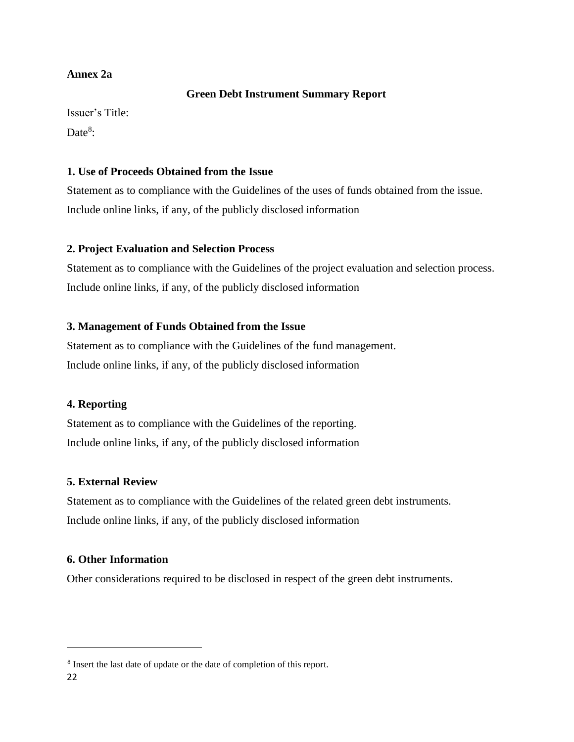## **Annex 2a**

### **Green Debt Instrument Summary Report**

Issuer's Title:

Date $8$ :

# **1. Use of Proceeds Obtained from the Issue**

Statement as to compliance with the Guidelines of the uses of funds obtained from the issue. Include online links, if any, of the publicly disclosed information

# **2. Project Evaluation and Selection Process**

Statement as to compliance with the Guidelines of the project evaluation and selection process. Include online links, if any, of the publicly disclosed information

# **3. Management of Funds Obtained from the Issue**

Statement as to compliance with the Guidelines of the fund management. Include online links, if any, of the publicly disclosed information

# **4. Reporting**

Statement as to compliance with the Guidelines of the reporting. Include online links, if any, of the publicly disclosed information

# **5. External Review**

Statement as to compliance with the Guidelines of the related green debt instruments. Include online links, if any, of the publicly disclosed information

## **6. Other Information**

Other considerations required to be disclosed in respect of the green debt instruments.

<sup>&</sup>lt;sup>8</sup> Insert the last date of update or the date of completion of this report.